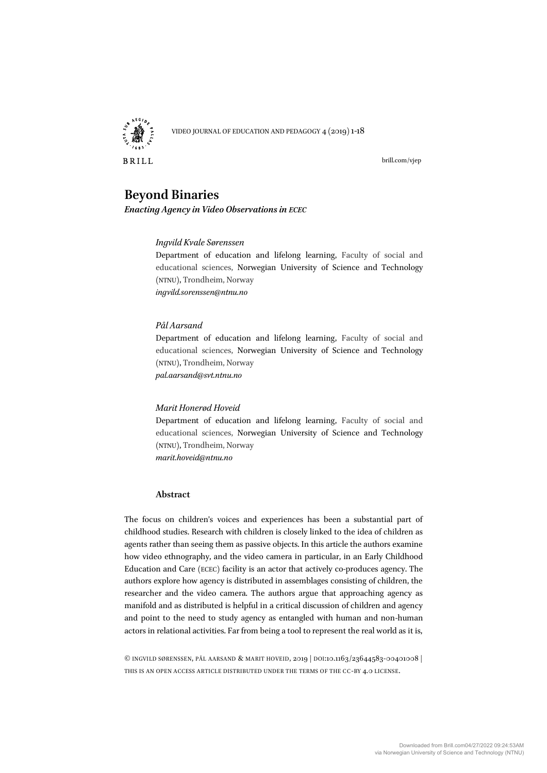

VIDEO JOURNAL OF EDUCATION AND PEDAGOGY 4 (2019) 1-18

brill.com/vjep

# **Beyond Binaries**

*Enacting Agency in Video Observations in ECEC*

## *Ingvild Kvale Sørenssen*

Department of education and lifelong learning, Faculty of social and educational sciences, Norwegian University of Science and Technology (NTNU), Trondheim, Norway *ingvild.sorenssen@ntnu.no*

## *Pål Aarsand*

Department of education and lifelong learning, Faculty of social and educational sciences, Norwegian University of Science and Technology (NTNU), Trondheim, Norway *pal.aarsand@svt.ntnu.no*

# *Marit Honerød Hoveid*

Department of education and lifelong learning, Faculty of social and educational sciences, Norwegian University of Science and Technology (NTNU), Trondheim, Norway *marit.hoveid@ntnu.no*

## **Abstract**

The focus on children's voices and experiences has been a substantial part of childhood studies. Research with children is closely linked to the idea of children as agents rather than seeing them as passive objects. In this article the authors examine how video ethnography, and the video camera in particular, in an Early Childhood Education and Care (ECEC) facility is an actor that actively co-produces agency. The authors explore how agency is distributed in assemblages consisting of children, the researcher and the video camera. The authors argue that approaching agency as manifold and as distributed is helpful in a critical discussion of children and agency and point to the need to study agency as entangled with human and non-human actors in relational activities. Far from being a tool to represent the real world as it is,

© INGVILD SØRENSSEN, PÅL AARSAND & MARIT HOVEID, 2019 | DOI:10.1163/23644583-00401008 | THIS IS AN OPEN ACCESS ARTICLE DISTRIBUTED UNDER THE TERMS OF THE CC-BY 4.0 LICENSE.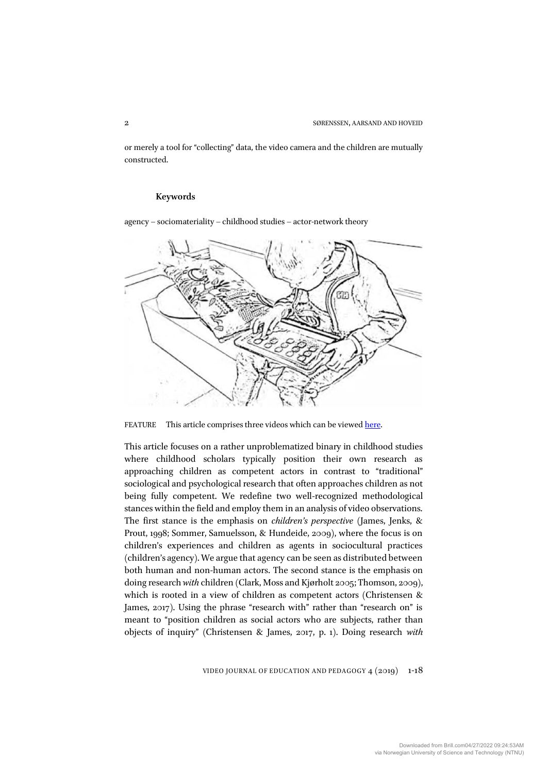or merely a tool for "collecting" data, the video camera and the children are mutually constructed.

## **Keywords**

agency – sociomateriality – childhood studies – actor-network theory



FEATURE This article comprises three videos which can be viewe[d here.](https://www.doi.org/10.6084/m9.figshare.10043054)

This article focuses on a rather unproblematized binary in childhood studies where childhood scholars typically position their own research as approaching children as competent actors in contrast to "traditional" sociological and psychological research that often approaches children as not being fully competent. We redefine two well-recognized methodological stances within the field and employ them in an analysis of video observations. The first stance is the emphasis on *children's perspective* (James, Jenks, & Prout, 1998; Sommer, Samuelsson, & Hundeide, 2009), where the focus is on children's experiences and children as agents in sociocultural practices (children's agency). We argue that agency can be seen as distributed between both human and non-human actors. The second stance is the emphasis on doing research *with* children (Clark, Moss and Kjørholt 2005; Thomson, 2009), which is rooted in a view of children as competent actors (Christensen & James, 2017). Using the phrase "research with" rather than "research on" is meant to "position children as social actors who are subjects, rather than objects of inquiry" (Christensen & James, 2017, p. 1). Doing research *with*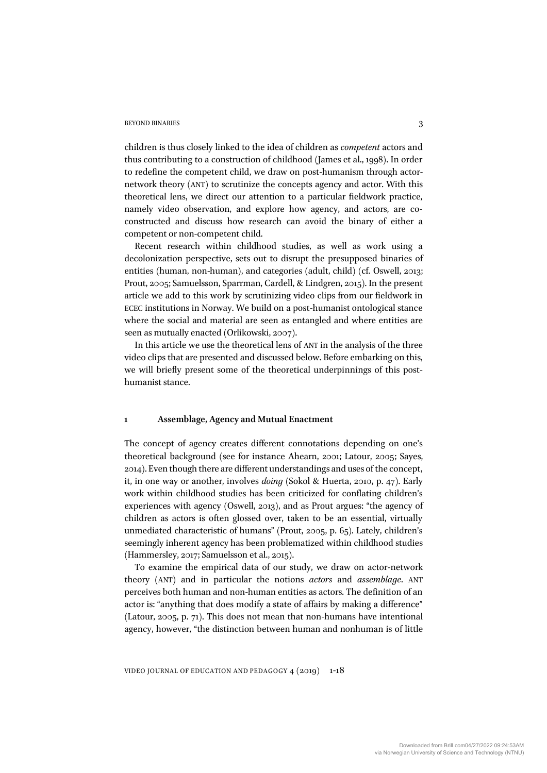children is thus closely linked to the idea of children as *competent* actors and thus contributing to a construction of childhood (James et al., 1998). In order to redefine the competent child, we draw on post-humanism through actornetwork theory (ANT) to scrutinize the concepts agency and actor. With this theoretical lens, we direct our attention to a particular fieldwork practice, namely video observation, and explore how agency, and actors, are coconstructed and discuss how research can avoid the binary of either a competent or non-competent child.

Recent research within childhood studies, as well as work using a decolonization perspective, sets out to disrupt the presupposed binaries of entities (human, non-human), and categories (adult, child) (cf. Oswell, 2013; Prout, 2005; Samuelsson, Sparrman, Cardell, & Lindgren, 2015). In the present article we add to this work by scrutinizing video clips from our fieldwork in ECEC institutions in Norway. We build on a post-humanist ontological stance where the social and material are seen as entangled and where entities are seen as mutually enacted (Orlikowski, 2007).

In this article we use the theoretical lens of ANT in the analysis of the three video clips that are presented and discussed below. Before embarking on this, we will briefly present some of the theoretical underpinnings of this posthumanist stance.

#### **1 Assemblage, Agency and Mutual Enactment**

The concept of agency creates different connotations depending on one's theoretical background (see for instance Ahearn, 2001; Latour, 2005; Sayes, 2014). Even though there are different understandings and uses of the concept, it, in one way or another, involves *doing* (Sokol & Huerta, 2010, p. 47). Early work within childhood studies has been criticized for conflating children's experiences with agency (Oswell, 2013), and as Prout argues: "the agency of children as actors is often glossed over, taken to be an essential, virtually unmediated characteristic of humans" (Prout, 2005, p. 65). Lately, children's seemingly inherent agency has been problematized within childhood studies (Hammersley, 2017; Samuelsson et al., 2015).

To examine the empirical data of our study, we draw on actor-network theory (ANT) and in particular the notions *actors* and *assemblage*. ANT perceives both human and non-human entities as actors. The definition of an actor is: "anything that does modify a state of affairs by making a difference" (Latour, 2005, p. 71). This does not mean that non-humans have intentional agency, however, "the distinction between human and nonhuman is of little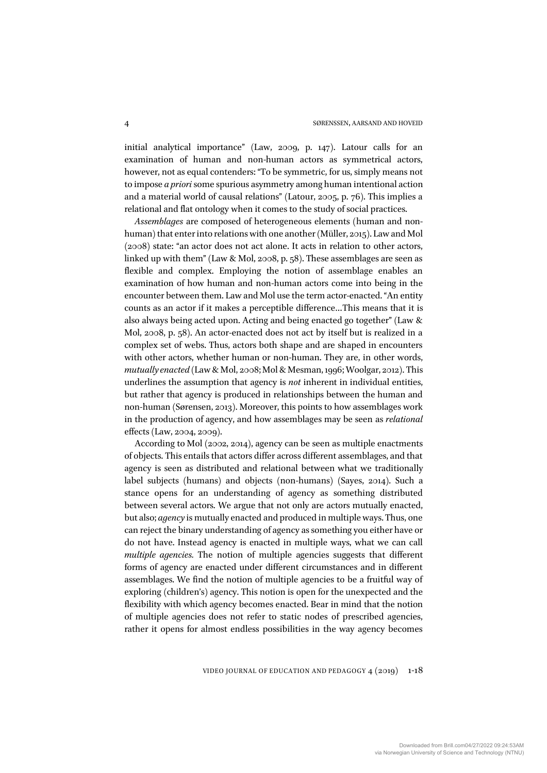initial analytical importance" (Law, 2009, p. 147). Latour calls for an examination of human and non-human actors as symmetrical actors, however, not as equal contenders: "To be symmetric, for us, simply means not to impose *a priori* some spurious asymmetry among human intentional action and a material world of causal relations" (Latour, 2005, p. 76). This implies a relational and flat ontology when it comes to the study of social practices.

*Assemblages* are composed of heterogeneous elements (human and nonhuman) that enter into relations with one another (Müller, 2015). Law and Mol (2008) state: "an actor does not act alone. It acts in relation to other actors, linked up with them" (Law & Mol, 2008, p. 58). These assemblages are seen as flexible and complex. Employing the notion of assemblage enables an examination of how human and non-human actors come into being in the encounter between them. Law and Mol use the term actor-enacted. "An entity counts as an actor if it makes a perceptible difference…This means that it is also always being acted upon. Acting and being enacted go together" (Law & Mol, 2008, p. 58). An actor-enacted does not act by itself but is realized in a complex set of webs. Thus, actors both shape and are shaped in encounters with other actors, whether human or non-human. They are, in other words, *mutually enacted* (Law & Mol, 2008; Mol & Mesman, 1996; Woolgar, 2012). This underlines the assumption that agency is *not* inherent in individual entities, but rather that agency is produced in relationships between the human and non-human (Sørensen, 2013). Moreover, this points to how assemblages work in the production of agency, and how assemblages may be seen as *relational* effects (Law, 2004, 2009).

According to Mol (2002, 2014), agency can be seen as multiple enactments of objects. This entails that actors differ across different assemblages, and that agency is seen as distributed and relational between what we traditionally label subjects (humans) and objects (non-humans) (Sayes, 2014). Such a stance opens for an understanding of agency as something distributed between several actors. We argue that not only are actors mutually enacted, but also; *agency* is mutually enacted and produced in multiple ways. Thus, one can reject the binary understanding of agency as something you either have or do not have. Instead agency is enacted in multiple ways, what we can call *multiple agencies.* The notion of multiple agencies suggests that different forms of agency are enacted under different circumstances and in different assemblages. We find the notion of multiple agencies to be a fruitful way of exploring (children's) agency. This notion is open for the unexpected and the flexibility with which agency becomes enacted. Bear in mind that the notion of multiple agencies does not refer to static nodes of prescribed agencies, rather it opens for almost endless possibilities in the way agency becomes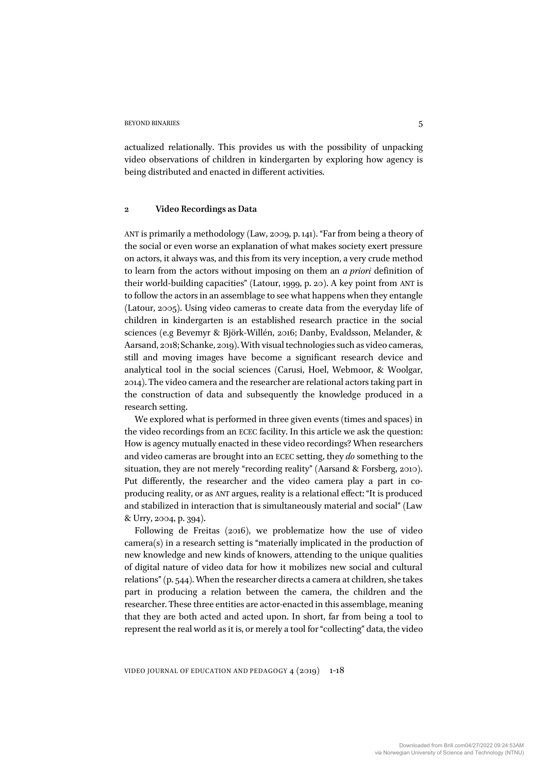actualized relationally. This provides us with the possibility of unpacking video observations of children in kindergarten by exploring how agency is being distributed and enacted in different activities.

## **2 Video Recordings as Data**

ANT is primarily a methodology (Law, 2009, p. 141). "Far from being a theory of the social or even worse an explanation of what makes society exert pressure on actors, it always was, and this from its very inception, a very crude method to learn from the actors without imposing on them an *a priori* definition of their world-building capacities" (Latour, 1999, p. 20). A key point from ANT is to follow the actors in an assemblage to see what happens when they entangle (Latour, 2005). Using video cameras to create data from the everyday life of children in kindergarten is an established research practice in the social sciences (e.g Bevemyr & Björk-Willén, 2016; Danby, Evaldsson, Melander, & Aarsand, 2018; Schanke, 2019). With visual technologies such as video cameras, still and moving images have become a significant research device and analytical tool in the social sciences (Carusi, Hoel, Webmoor, & Woolgar, 2014). The video camera and the researcher are relational actors taking part in the construction of data and subsequently the knowledge produced in a research setting.

We explored what is performed in three given events (times and spaces) in the video recordings from an ECEC facility. In this article we ask the question: How is agency mutually enacted in these video recordings? When researchers and video cameras are brought into an ECEC setting, they *do* something to the situation, they are not merely "recording reality" (Aarsand & Forsberg, 2010). Put differently, the researcher and the video camera play a part in coproducing reality, or as ANT argues, reality is a relational effect: "It is produced and stabilized in interaction that is simultaneously material and social" (Law & Urry, 2004, p. 394).

Following de Freitas (2016), we problematize how the use of video camera(s) in a research setting is "materially implicated in the production of new knowledge and new kinds of knowers, attending to the unique qualities of digital nature of video data for how it mobilizes new social and cultural relations" (p. 544). When the researcher directs a camera at children, she takes part in producing a relation between the camera, the children and the researcher. These three entities are actor-enacted in this assemblage, meaning that they are both acted and acted upon. In short, far from being a tool to represent the real world as it is, or merely a tool for "collecting" data, the video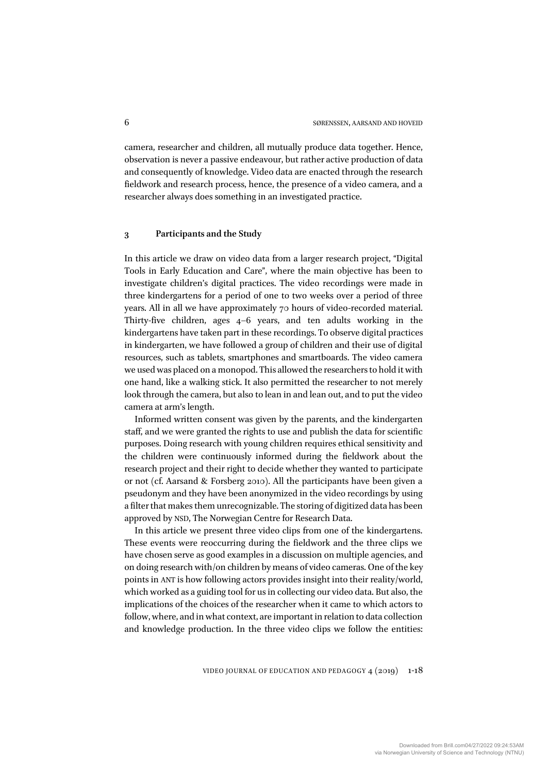camera, researcher and children, all mutually produce data together. Hence, observation is never a passive endeavour, but rather active production of data and consequently of knowledge. Video data are enacted through the research fieldwork and research process, hence, the presence of a video camera, and a researcher always does something in an investigated practice.

#### **3 Participants and the Study**

In this article we draw on video data from a larger research project, "Digital Tools in Early Education and Care", where the main objective has been to investigate children's digital practices. The video recordings were made in three kindergartens for a period of one to two weeks over a period of three years. All in all we have approximately 70 hours of video-recorded material. Thirty-five children, ages 4–6 years, and ten adults working in the kindergartens have taken part in these recordings. To observe digital practices in kindergarten, we have followed a group of children and their use of digital resources, such as tablets, smartphones and smartboards. The video camera we used was placed on a monopod. This allowed the researchers to hold it with one hand, like a walking stick. It also permitted the researcher to not merely look through the camera, but also to lean in and lean out, and to put the video camera at arm's length.

Informed written consent was given by the parents, and the kindergarten staff, and we were granted the rights to use and publish the data for scientific purposes. Doing research with young children requires ethical sensitivity and the children were continuously informed during the fieldwork about the research project and their right to decide whether they wanted to participate or not (cf. Aarsand & Forsberg 2010). All the participants have been given a pseudonym and they have been anonymized in the video recordings by using a filter that makes them unrecognizable. The storing of digitized data has been approved by NSD, The Norwegian Centre for Research Data.

In this article we present three video clips from one of the kindergartens. These events were reoccurring during the fieldwork and the three clips we have chosen serve as good examples in a discussion on multiple agencies, and on doing research with/on children by means of video cameras. One of the key points in ANT is how following actors provides insight into their reality/world, which worked as a guiding tool for us in collecting our video data. But also, the implications of the choices of the researcher when it came to which actors to follow, where, and in what context, are important in relation to data collection and knowledge production. In the three video clips we follow the entities: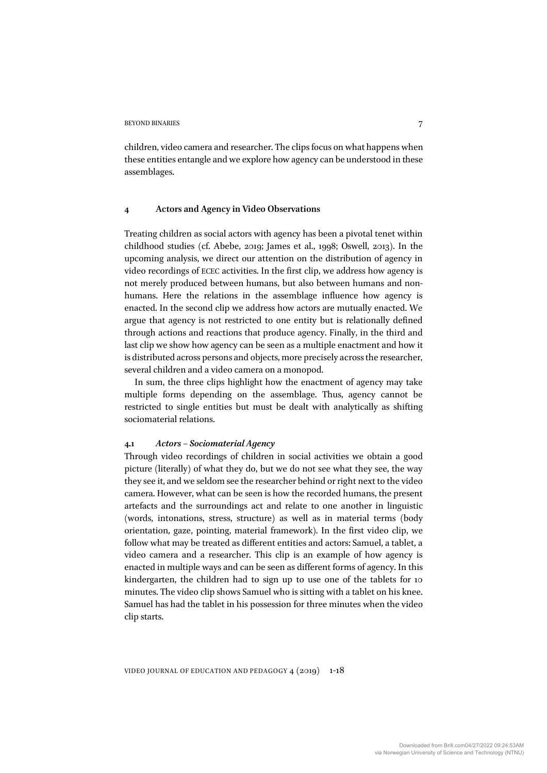children, video camera and researcher. The clips focus on what happens when these entities entangle and we explore how agency can be understood in these assemblages.

## **4 Actors and Agency in Video Observations**

Treating children as social actors with agency has been a pivotal tenet within childhood studies (cf. Abebe, 2019; James et al., 1998; Oswell, 2013). In the upcoming analysis, we direct our attention on the distribution of agency in video recordings of ECEC activities. In the first clip, we address how agency is not merely produced between humans, but also between humans and nonhumans. Here the relations in the assemblage influence how agency is enacted. In the second clip we address how actors are mutually enacted. We argue that agency is not restricted to one entity but is relationally defined through actions and reactions that produce agency. Finally, in the third and last clip we show how agency can be seen as a multiple enactment and how it is distributed across persons and objects, more precisely across the researcher, several children and a video camera on a monopod.

In sum, the three clips highlight how the enactment of agency may take multiple forms depending on the assemblage. Thus, agency cannot be restricted to single entities but must be dealt with analytically as shifting sociomaterial relations.

#### **4.1** *Actors – Sociomaterial Agency*

Through video recordings of children in social activities we obtain a good picture (literally) of what they do, but we do not see what they see, the way they see it, and we seldom see the researcher behind or right next to the video camera. However, what can be seen is how the recorded humans, the present artefacts and the surroundings act and relate to one another in linguistic (words, intonations, stress, structure) as well as in material terms (body orientation, gaze, pointing, material framework). In the first video clip, we follow what may be treated as different entities and actors: Samuel, a tablet, a video camera and a researcher. This clip is an example of how agency is enacted in multiple ways and can be seen as different forms of agency. In this kindergarten, the children had to sign up to use one of the tablets for 10 minutes. The video clip shows Samuel who is sitting with a tablet on his knee. Samuel has had the tablet in his possession for three minutes when the video clip starts.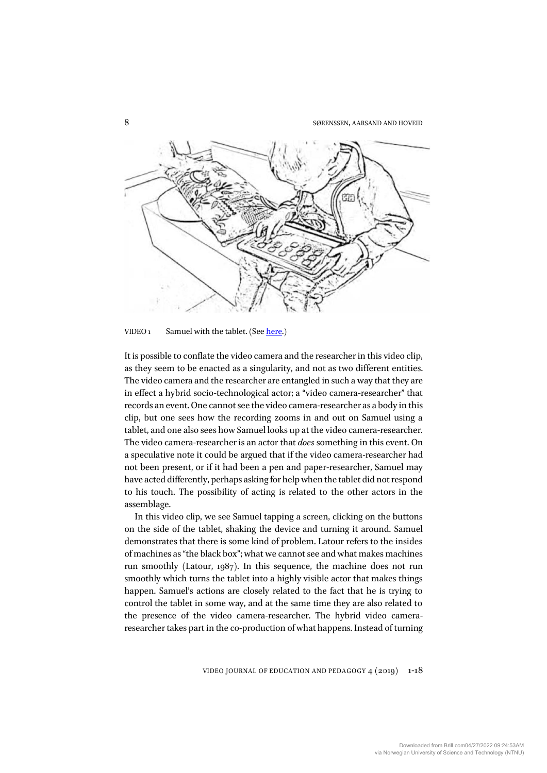8 SØRENSSEN, AARSAND AND HOVEID



VIDEO 1 Samuel with the tablet. (Se[e here.](https://www.doi.org/10.6084/m9.figshare.10043054))

It is possible to conflate the video camera and the researcher in this video clip, as they seem to be enacted as a singularity, and not as two different entities. The video camera and the researcher are entangled in such a way that they are in effect a hybrid socio-technological actor; a "video camera-researcher" that records an event. One cannot see the video camera-researcher as a body in this clip, but one sees how the recording zooms in and out on Samuel using a tablet, and one also sees how Samuel looks up at the video camera-researcher. The video camera-researcher is an actor that *does* something in this event. On a speculative note it could be argued that if the video camera-researcher had not been present, or if it had been a pen and paper-researcher, Samuel may have acted differently, perhaps asking for help when the tablet did not respond to his touch. The possibility of acting is related to the other actors in the assemblage.

In this video clip, we see Samuel tapping a screen, clicking on the buttons on the side of the tablet, shaking the device and turning it around. Samuel demonstrates that there is some kind of problem. Latour refers to the insides of machines as "the black box"; what we cannot see and what makes machines run smoothly (Latour, 1987). In this sequence, the machine does not run smoothly which turns the tablet into a highly visible actor that makes things happen. Samuel's actions are closely related to the fact that he is trying to control the tablet in some way, and at the same time they are also related to the presence of the video camera-researcher. The hybrid video cameraresearcher takes part in the co-production of what happens. Instead of turning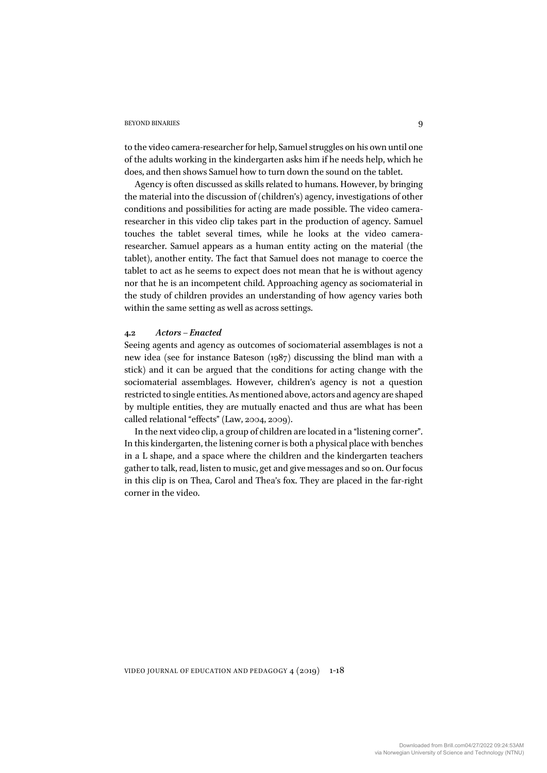to the video camera-researcher for help, Samuel struggles on his own until one of the adults working in the kindergarten asks him if he needs help, which he does, and then shows Samuel how to turn down the sound on the tablet.

Agency is often discussed as skills related to humans. However, by bringing the material into the discussion of (children's) agency, investigations of other conditions and possibilities for acting are made possible. The video cameraresearcher in this video clip takes part in the production of agency. Samuel touches the tablet several times, while he looks at the video cameraresearcher. Samuel appears as a human entity acting on the material (the tablet), another entity. The fact that Samuel does not manage to coerce the tablet to act as he seems to expect does not mean that he is without agency nor that he is an incompetent child. Approaching agency as sociomaterial in the study of children provides an understanding of how agency varies both within the same setting as well as across settings.

## **4.2** *Actors – Enacted*

Seeing agents and agency as outcomes of sociomaterial assemblages is not a new idea (see for instance Bateson (1987) discussing the blind man with a stick) and it can be argued that the conditions for acting change with the sociomaterial assemblages. However, children's agency is not a question restricted to single entities. As mentioned above, actors and agency are shaped by multiple entities, they are mutually enacted and thus are what has been called relational "effects" (Law, 2004, 2009).

In the next video clip, a group of children are located in a "listening corner". In this kindergarten, the listening corner is both a physical place with benches in a L shape, and a space where the children and the kindergarten teachers gather to talk, read, listen to music, get and give messages and so on. Our focus in this clip is on Thea, Carol and Thea's fox. They are placed in the far-right corner in the video.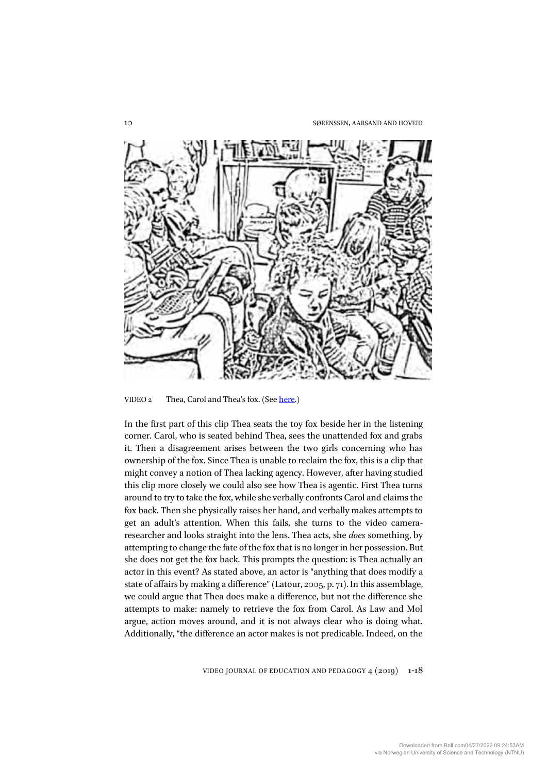10 SØRENSSEN, AARSAND AND HOVEID



VIDEO 2 Thea, Carol and Thea's fox. (Se[e here.\)](https://www.doi.org/10.6084/m9.figshare.10043054)

In the first part of this clip Thea seats the toy fox beside her in the listening corner. Carol, who is seated behind Thea, sees the unattended fox and grabs it. Then a disagreement arises between the two girls concerning who has ownership of the fox. Since Thea is unable to reclaim the fox, this is a clip that might convey a notion of Thea lacking agency. However, after having studied this clip more closely we could also see how Thea is agentic. First Thea turns around to try to take the fox, while she verbally confronts Carol and claims the fox back. Then she physically raises her hand, and verbally makes attempts to get an adult's attention. When this fails, she turns to the video cameraresearcher and looks straight into the lens. Thea acts, she *does* something, by attempting to change the fate of the fox that is no longer in her possession. But she does not get the fox back. This prompts the question: is Thea actually an actor in this event? As stated above, an actor is "anything that does modify a state of affairs by making a difference" (Latour, 2005, p. 71). In this assemblage, we could argue that Thea does make a difference, but not the difference she attempts to make: namely to retrieve the fox from Carol. As Law and Mol argue, action moves around, and it is not always clear who is doing what. Additionally, "the difference an actor makes is not predicable. Indeed, on the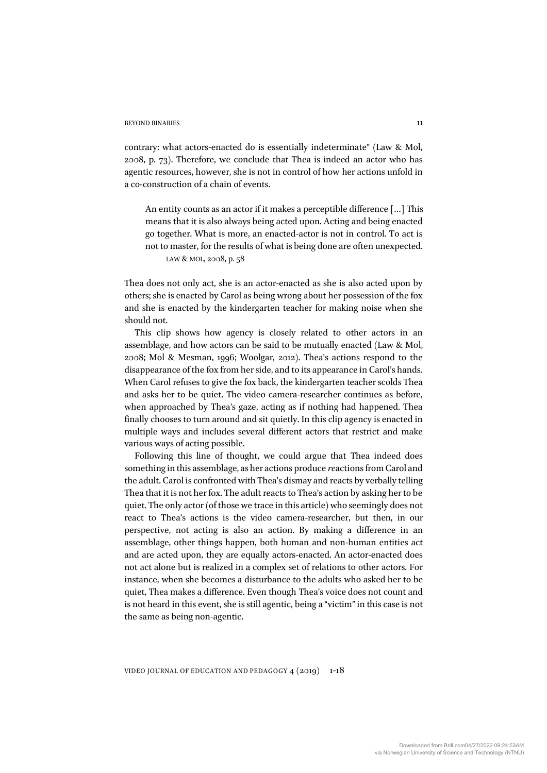contrary: what actors-enacted do is essentially indeterminate" (Law & Mol, 2008, p. 73). Therefore, we conclude that Thea is indeed an actor who has agentic resources, however, she is not in control of how her actions unfold in a co-construction of a chain of events.

An entity counts as an actor if it makes a perceptible difference […] This means that it is also always being acted upon. Acting and being enacted go together. What is more, an enacted-actor is not in control. To act is not to master, for the results of what is being done are often unexpected. LAW & MOL, 2008, p. 58

Thea does not only act, she is an actor-enacted as she is also acted upon by others; she is enacted by Carol as being wrong about her possession of the fox and she is enacted by the kindergarten teacher for making noise when she should not.

This clip shows how agency is closely related to other actors in an assemblage, and how actors can be said to be mutually enacted (Law & Mol, 2008; Mol & Mesman, 1996; Woolgar, 2012). Thea's actions respond to the disappearance of the fox from her side, and to its appearance in Carol's hands. When Carol refuses to give the fox back, the kindergarten teacher scolds Thea and asks her to be quiet. The video camera-researcher continues as before, when approached by Thea's gaze, acting as if nothing had happened. Thea finally chooses to turn around and sit quietly. In this clip agency is enacted in multiple ways and includes several different actors that restrict and make various ways of acting possible.

Following this line of thought, we could argue that Thea indeed does something in this assemblage, as her actions produce *re*actions from Carol and the adult. Carol is confronted with Thea's dismay and reacts by verbally telling Thea that it is not her fox. The adult reacts to Thea's action by asking her to be quiet. The only actor (of those we trace in this article) who seemingly does not react to Thea's actions is the video camera-researcher, but then, in our perspective, not acting is also an action. By making a difference in an assemblage, other things happen, both human and non-human entities act and are acted upon, they are equally actors-enacted. An actor-enacted does not act alone but is realized in a complex set of relations to other actors. For instance, when she becomes a disturbance to the adults who asked her to be quiet, Thea makes a difference. Even though Thea's voice does not count and is not heard in this event, she is still agentic, being a "victim" in this case is not the same as being non-agentic.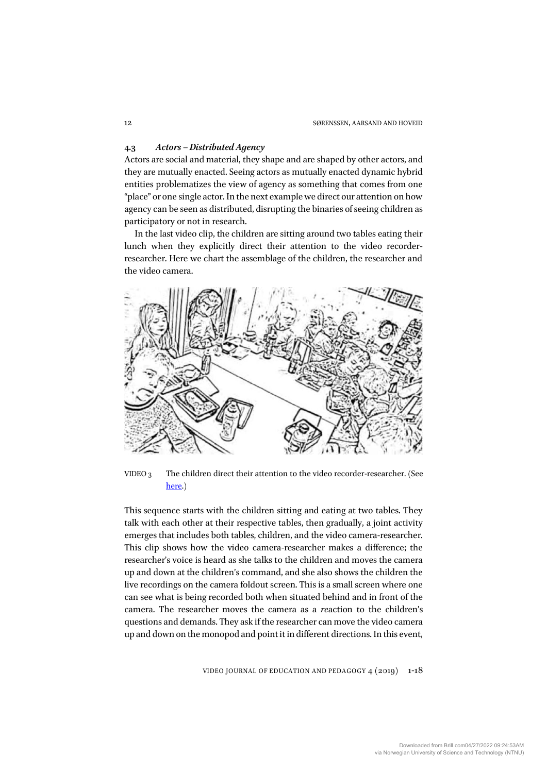## **4.3** *Actors – Distributed Agency*

Actors are social and material, they shape and are shaped by other actors, and they are mutually enacted. Seeing actors as mutually enacted dynamic hybrid entities problematizes the view of agency as something that comes from one "place" or one single actor. In the next example we direct our attention on how agency can be seen as distributed, disrupting the binaries of seeing children as participatory or not in research.

In the last video clip, the children are sitting around two tables eating their lunch when they explicitly direct their attention to the video recorderresearcher. Here we chart the assemblage of the children, the researcher and the video camera.



VIDEO 3 The children direct their attention to the video recorder-researcher. (See [here.\)](https://www.doi.org/10.6084/m9.figshare.10043054)

This sequence starts with the children sitting and eating at two tables. They talk with each other at their respective tables, then gradually, a joint activity emerges that includes both tables, children, and the video camera-researcher. This clip shows how the video camera-researcher makes a difference; the researcher's voice is heard as she talks to the children and moves the camera up and down at the children's command, and she also shows the children the live recordings on the camera foldout screen. This is a small screen where one can see what is being recorded both when situated behind and in front of the camera. The researcher moves the camera as a *re*action to the children's questions and demands. They ask if the researcher can move the video camera up and down on the monopod and point it in different directions. In this event,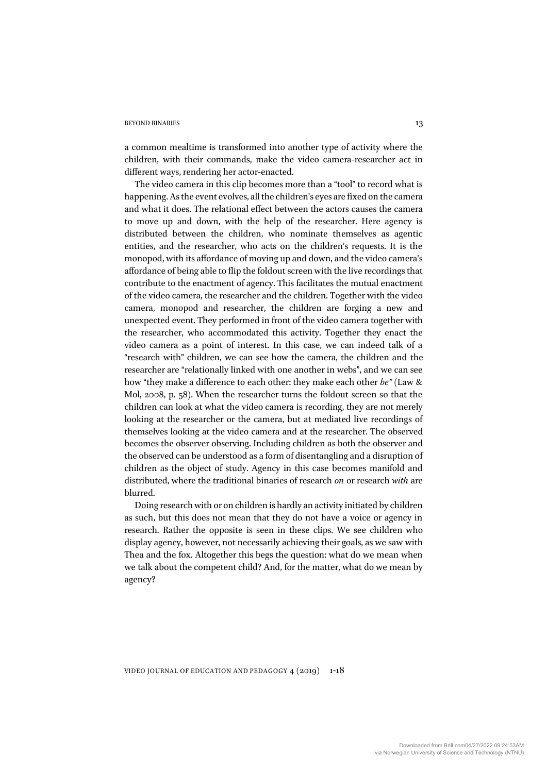a common mealtime is transformed into another type of activity where the children, with their commands, make the video camera-researcher act in different ways, rendering her actor-enacted.

The video camera in this clip becomes more than a "tool" to record what is happening. As the event evolves, all the children's eyes are fixed on the camera and what it does. The relational effect between the actors causes the camera to move up and down, with the help of the researcher. Here agency is distributed between the children, who nominate themselves as agentic entities, and the researcher, who acts on the children's requests. It is the monopod, with its affordance of moving up and down, and the video camera's affordance of being able to flip the foldout screen with the live recordings that contribute to the enactment of agency. This facilitates the mutual enactment of the video camera, the researcher and the children. Together with the video camera, monopod and researcher, the children are forging a new and unexpected event. They performed in front of the video camera together with the researcher, who accommodated this activity. Together they enact the video camera as a point of interest. In this case, we can indeed talk of a "research with" children, we can see how the camera, the children and the researcher are "relationally linked with one another in webs", and we can see how "they make a difference to each other: they make each other *be"* (Law & Mol, 2008, p. 58). When the researcher turns the foldout screen so that the children can look at what the video camera is recording, they are not merely looking at the researcher or the camera, but at mediated live recordings of themselves looking at the video camera and at the researcher. The observed becomes the observer observing. Including children as both the observer and the observed can be understood as a form of disentangling and a disruption of children as the object of study. Agency in this case becomes manifold and distributed, where the traditional binaries of research *on* or research *with* are blurred.

Doing research with or on children is hardly an activity initiated by children as such, but this does not mean that they do not have a voice or agency in research. Rather the opposite is seen in these clips. We see children who display agency, however, not necessarily achieving their goals, as we saw with Thea and the fox. Altogether this begs the question: what do we mean when we talk about the competent child? And, for the matter, what do we mean by agency?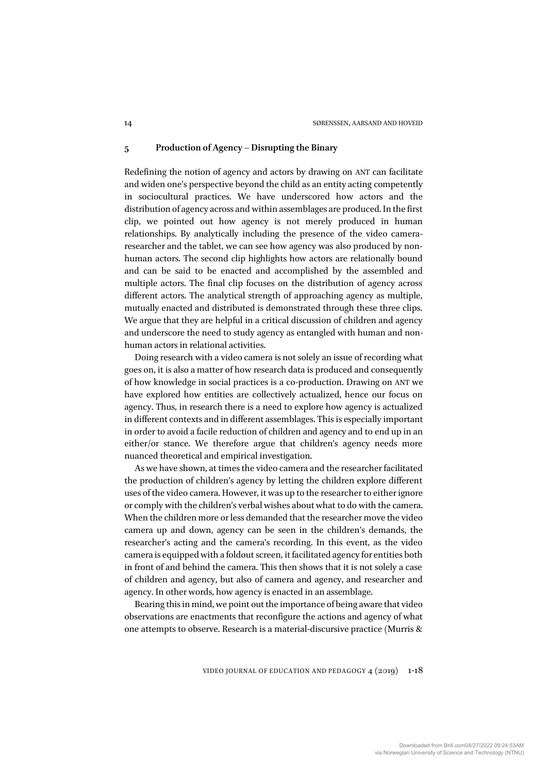## **5 Production of Agency – Disrupting the Binary**

Redefining the notion of agency and actors by drawing on ANT can facilitate and widen one's perspective beyond the child as an entity acting competently in sociocultural practices. We have underscored how actors and the distribution of agency across and within assemblages are produced. In the first clip, we pointed out how agency is not merely produced in human relationships. By analytically including the presence of the video cameraresearcher and the tablet, we can see how agency was also produced by nonhuman actors. The second clip highlights how actors are relationally bound and can be said to be enacted and accomplished by the assembled and multiple actors. The final clip focuses on the distribution of agency across different actors. The analytical strength of approaching agency as multiple, mutually enacted and distributed is demonstrated through these three clips. We argue that they are helpful in a critical discussion of children and agency and underscore the need to study agency as entangled with human and nonhuman actors in relational activities.

Doing research with a video camera is not solely an issue of recording what goes on, it is also a matter of how research data is produced and consequently of how knowledge in social practices is a co-production. Drawing on ANT we have explored how entities are collectively actualized, hence our focus on agency. Thus, in research there is a need to explore how agency is actualized in different contexts and in different assemblages. This is especially important in order to avoid a facile reduction of children and agency and to end up in an either/or stance. We therefore argue that children's agency needs more nuanced theoretical and empirical investigation.

As we have shown, at times the video camera and the researcher facilitated the production of children's agency by letting the children explore different uses of the video camera. However, it was up to the researcher to either ignore or comply with the children's verbal wishes about what to do with the camera. When the children more or less demanded that the researcher move the video camera up and down, agency can be seen in the children's demands, the researcher's acting and the camera's recording. In this event, as the video camera is equipped with a foldout screen, it facilitated agency for entities both in front of and behind the camera. This then shows that it is not solely a case of children and agency, but also of camera and agency, and researcher and agency. In other words, how agency is enacted in an assemblage.

Bearing this in mind, we point out the importance of being aware that video observations are enactments that reconfigure the actions and agency of what one attempts to observe. Research is a material-discursive practice (Murris &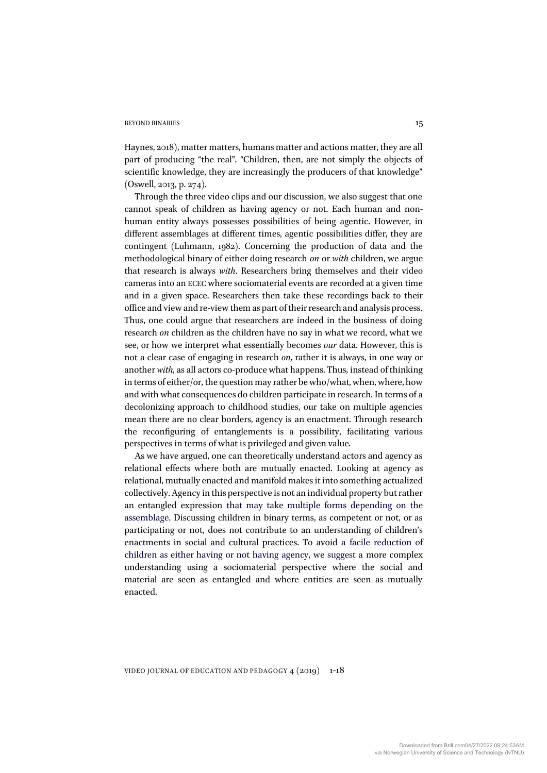Haynes, 2018), matter matters, humans matter and actions matter, they are all part of producing "the real". "Children, then, are not simply the objects of scientific knowledge, they are increasingly the producers of that knowledge" (Oswell, 2013, p. 274).

Through the three video clips and our discussion, we also suggest that one cannot speak of children as having agency or not. Each human and nonhuman entity always possesses possibilities of being agentic. However, in different assemblages at different times, agentic possibilities differ, they are contingent (Luhmann, 1982). Concerning the production of data and the methodological binary of either doing research *on* or *with* children, we argue that research is always *with*. Researchers bring themselves and their video cameras into an ECEC where sociomaterial events are recorded at a given time and in a given space. Researchers then take these recordings back to their office and view and re-view them as part of their research and analysis process. Thus, one could argue that researchers are indeed in the business of doing research *on* children as the children have no say in what we record, what we see, or how we interpret what essentially becomes *our* data. However, this is not a clear case of engaging in research *on,* rather it is always, in one way or another *with,* as all actors co-produce what happens. Thus, instead of thinking in terms of either/or, the question may rather be who/what, when, where, how and with what consequences do children participate in research. In terms of a decolonizing approach to childhood studies, our take on multiple agencies mean there are no clear borders, agency is an enactment. Through research the reconfiguring of entanglements is a possibility, facilitating various perspectives in terms of what is privileged and given value.

As we have argued, one can theoretically understand actors and agency as relational effects where both are mutually enacted. Looking at agency as relational, mutually enacted and manifold makes it into something actualized collectively. Agency in this perspective is not an individual property but rather an entangled expression that may take multiple forms depending on the assemblage. Discussing children in binary terms, as competent or not, or as participating or not, does not contribute to an understanding of children's enactments in social and cultural practices. To avoid a facile reduction of children as either having or not having agency, we suggest a more complex understanding using a sociomaterial perspective where the social and material are seen as entangled and where entities are seen as mutually enacted.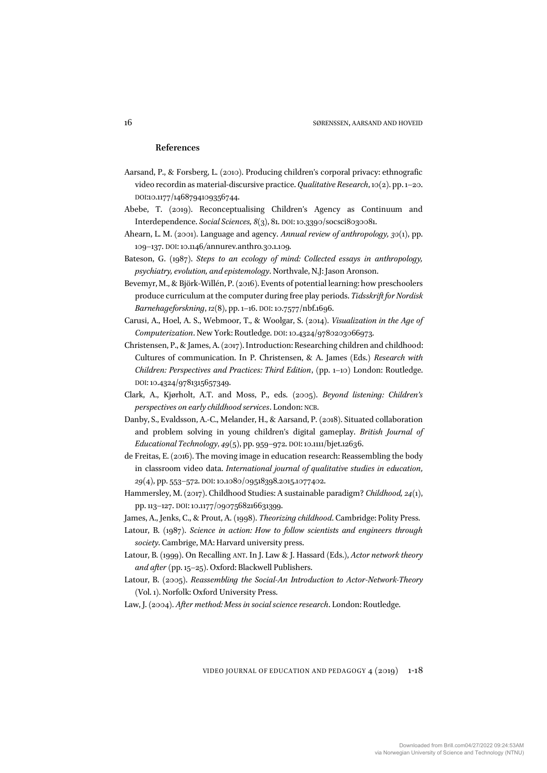#### **References**

- Aarsand, P., & Forsberg, L. (2010). Producing children's corporal privacy: ethnografic video recordin as material-discursive practice. *Qualitative Research*, 10(2). pp. 1–20. DOI:10.1177/1468794109356744.
- Abebe, T. (2019). Reconceptualising Children's Agency as Continuum and Interdependence. *Social Sciences, 8*(3), 81. DOI: 10.3390/socsci8030081.
- Ahearn, L. M. (2001). Language and agency. *Annual review of anthropology, 30*(1), pp. 109–137. DOI: 10.1146*/*annurev*.*anthro*.*30.1.109*.*
- Bateson, G. (1987). *Steps to an ecology of mind: Collected essays in anthropology, psychiatry, evolution, and epistemology*. Northvale, N.J: Jason Aronson.
- Bevemyr, M., & Björk-Willén, P. (2016). Events of potential learning: how preschoolers produce curriculum at the computer during free play periods. *Tidsskrift for Nordisk Barnehageforskning*, *12*(8), pp. 1–16. DOI: 10.7577/nbf.1696.
- Carusi, A., Hoel, A. S., Webmoor, T., & Woolgar, S. (2014). *Visualization in the Age of Computerization*. New York: Routledge. DOI: 10.4324/9780203066973.
- Christensen, P., & James, A. (2017). Introduction: Researching children and childhood: Cultures of communication. In P. Christensen, & A. James (Eds.) *Research with Children: Perspectives and Practices: Third Edition*, (pp. 1–10) London: Routledge. DOI: 10.4324/9781315657349.
- Clark, A., Kjørholt, A.T. and Moss, P., eds. (2005). *Beyond listening: Children's perspectives on early childhood services*. London: NCB.
- Danby, S., Evaldsson, A.-C., Melander, H., & Aarsand, P. (2018). Situated collaboration and problem solving in young children's digital gameplay. *British Journal of Educational Technology*, *49*(5), pp. 959–972. DOI: 10.1111/bjet.12636.
- de Freitas, E. (2016). The moving image in education research: Reassembling the body in classroom video data. *International journal of qualitative studies in education, 29*(4), pp. 553–572. DOI: 10.1080/09518398.2015.1077402.
- Hammersley, M. (2017). Childhood Studies: A sustainable paradigm? *Childhood, 24*(1), pp. 113–127. DOI: 10.1177/0907568216631399.
- James, A., Jenks, C., & Prout, A. (1998). *Theorizing childhood*. Cambridge: Polity Press.
- Latour, B. (1987). *Science in action: How to follow scientists and engineers through society*. Cambrige, MA: Harvard university press.
- Latour, B. (1999). On Recalling ANT. In J. Law & J. Hassard (Eds.), *Actor network theory and after* (pp. 15–25). Oxford: Blackwell Publishers.
- Latour, B. (2005). *Reassembling the Social-An Introduction to Actor-Network-Theory* (Vol. 1). Norfolk: Oxford University Press.

Law, J. (2004). *After method: Mess in social science research*. London: Routledge.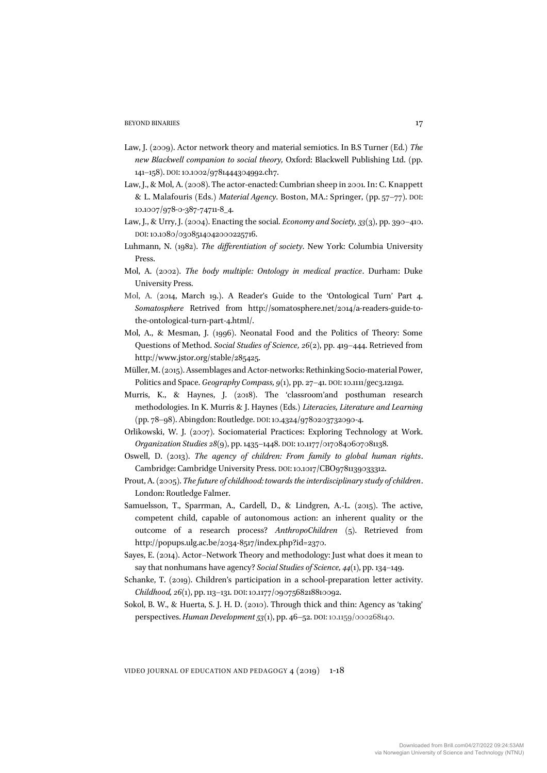- Law, J. (2009). Actor network theory and material semiotics. In B.S Turner (Ed.) *The new Blackwell companion to social theory,* Oxford: Blackwell Publishing Ltd. (pp. 141–158). DOI: 10.1002/9781444304992.ch7.
- Law, J., & Mol, A. (2008). The actor-enacted: Cumbrian sheep in 2001. In: C. Knappett & L. Malafouris (Eds.) *Material Agency*. Boston, MA.: Springer, (pp. 57–77). DOI: 10.1007/978-0-387-74711-8\_4.
- Law, J., & Urry, J. (2004). Enacting the social. *Economy and Society, 33*(3), pp. 390–410. DOI: 10.1080/0308514042000225716.
- Luhmann, N. (1982). *The differentiation of society*. New York: Columbia University Press.
- Mol, A. (2002). *The body multiple: Ontology in medical practice*. Durham: Duke University Press.
- Mol, A. (2014, March 19.). A Reader's Guide to the 'Ontological Turn' Part 4. *Somatosphere* Retrived from http://somatosphere.net/2014/a-readers-guide-tothe-ontological-turn-part-4.html/.
- Mol, A., & Mesman, J. (1996). Neonatal Food and the Politics of Theory: Some Questions of Method. *Social Studies of Science, 26*(2), pp. 419–444. Retrieved from http://www.jstor.org/stable/285425.
- Müller, M. (2015). Assemblages and Actor‐networks: Rethinking Socio‐material Power, Politics and Space. *Geography Compass*,  $g(1)$ , pp. 27–41. DOI: 10.1111/gec3.12192.
- Murris, K., & Haynes, J. (2018). The 'classroom'and posthuman research methodologies. In K. Murris & J. Haynes (Eds.) *Literacies, Literature and Learning* (pp. 78–98). Abingdon: Routledge. DOI: 10.4324/9780203732090-4.
- Orlikowski, W. J. (2007). Sociomaterial Practices: Exploring Technology at Work. *Organization Studies 28*(9), pp. 1435–1448. DOI: 10.1177/0170840607081138.
- Oswell, D. (2013). *The agency of children: From family to global human rights*. Cambridge: Cambridge University Press. DOI: 10.1017/CBO9781139033312.
- Prout, A. (2005). *The future of childhood: towards the interdisciplinary study of children*. London: Routledge Falmer.
- Samuelsson, T., Sparrman, A., Cardell, D., & Lindgren, A.-L. (2015). The active, competent child, capable of autonomous action: an inherent quality or the outcome of a research process? *AnthropoChildren* (5). Retrieved from http://popups.ulg.ac.be/2034-8517/index.php?id=2370.
- Sayes, E. (2014). Actor–Network Theory and methodology: Just what does it mean to say that nonhumans have agency? *Social Studies of Science, 44*(1), pp. 134–149.
- Schanke, T. (2019). Children's participation in a school-preparation letter activity. *Childhood, 26*(1), pp. 113–131. DOI: 10.1177/0907568218810092.
- Sokol, B. W., & Huerta, S. J. H. D. (2010). Through thick and thin: Agency as 'taking' perspectives. *Human Development 53*(1), pp. 46–52. DOI: 10.1159/000268140.